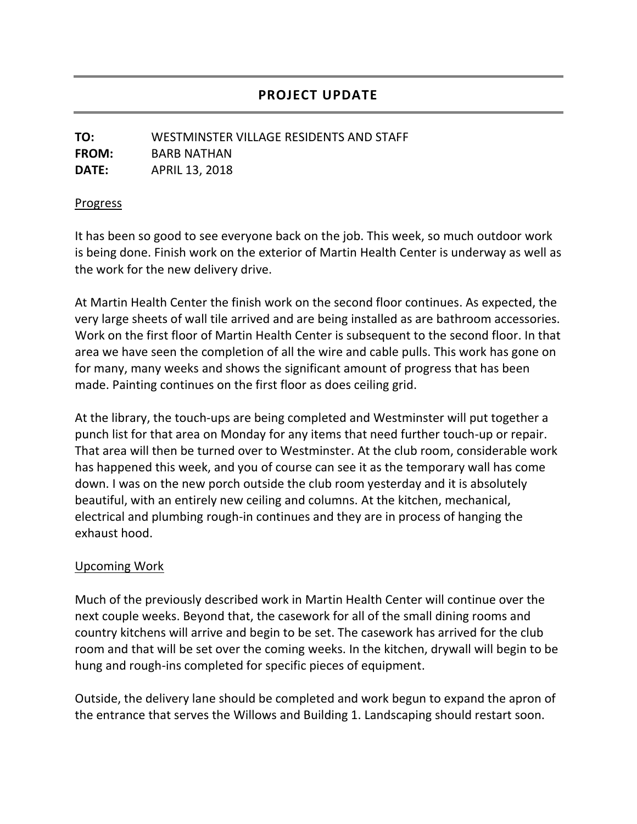## **PROJECT UPDATE**

## **TO:** WESTMINSTER VILLAGE RESIDENTS AND STAFF **FROM:** BARB NATHAN **DATE:** APRIL 13, 2018

## **Progress**

It has been so good to see everyone back on the job. This week, so much outdoor work is being done. Finish work on the exterior of Martin Health Center is underway as well as the work for the new delivery drive.

At Martin Health Center the finish work on the second floor continues. As expected, the very large sheets of wall tile arrived and are being installed as are bathroom accessories. Work on the first floor of Martin Health Center is subsequent to the second floor. In that area we have seen the completion of all the wire and cable pulls. This work has gone on for many, many weeks and shows the significant amount of progress that has been made. Painting continues on the first floor as does ceiling grid.

At the library, the touch-ups are being completed and Westminster will put together a punch list for that area on Monday for any items that need further touch-up or repair. That area will then be turned over to Westminster. At the club room, considerable work has happened this week, and you of course can see it as the temporary wall has come down. I was on the new porch outside the club room yesterday and it is absolutely beautiful, with an entirely new ceiling and columns. At the kitchen, mechanical, electrical and plumbing rough-in continues and they are in process of hanging the exhaust hood.

## Upcoming Work

Much of the previously described work in Martin Health Center will continue over the next couple weeks. Beyond that, the casework for all of the small dining rooms and country kitchens will arrive and begin to be set. The casework has arrived for the club room and that will be set over the coming weeks. In the kitchen, drywall will begin to be hung and rough-ins completed for specific pieces of equipment.

Outside, the delivery lane should be completed and work begun to expand the apron of the entrance that serves the Willows and Building 1. Landscaping should restart soon.